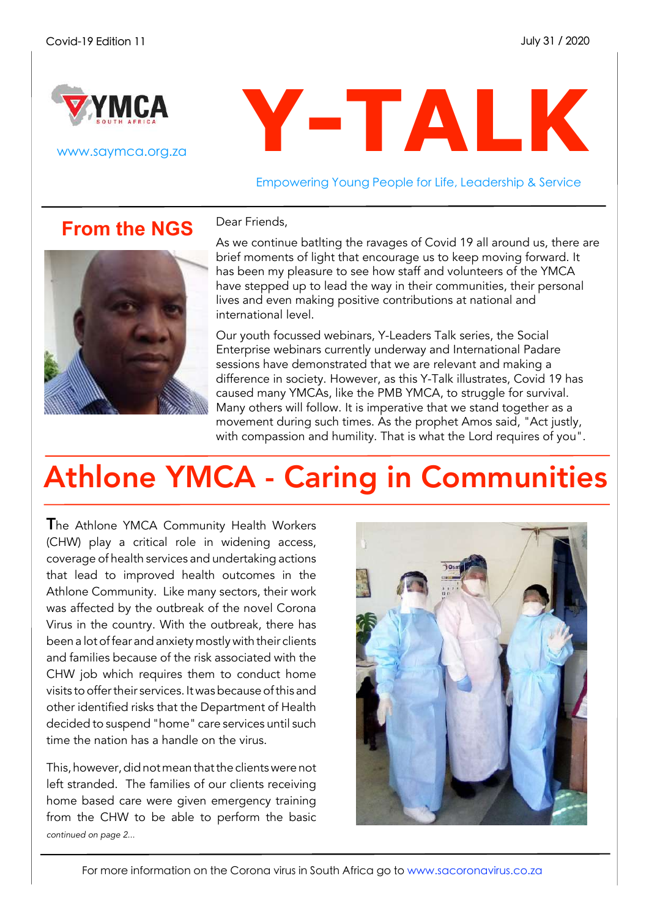

www.saymca.org.za

# **Y-TALK**

Empowering Young People for Life, Leadership & Service

#### **From the NGS**

Dear Friends,



As we continue batlting the ravages of Covid 19 all around us, there are brief moments of light that encourage us to keep moving forward. It has been my pleasure to see how staff and volunteers of the YMCA have stepped up to lead the way in their communities, their personal lives and even making positive contributions at national and international level.

Our youth focussed webinars, Y-Leaders Talk series, the Social Enterprise webinars currently underway and International Padare sessions have demonstrated that we are relevant and making a difference in society. However, as this Y-Talk illustrates, Covid 19 has caused many YMCAs, like the PMB YMCA, to struggle for survival. Many others will follow. It is imperative that we stand together as a movement during such times. As the prophet Amos said, "Act justly, with compassion and humility. That is what the Lord requires of you".

## Athlone YMCA - Caring in Communities

The Athlone YMCA Community Health Workers (CHW) play a critical role in widening access, coverage of health services and undertaking actions that lead to improved health outcomes in the Athlone Community. Like many sectors, their work was affected by the outbreak of the novel Corona Virus in the country. With the outbreak, there has been a lotoffear andanxiety mostly with their clients and families because of the risk associated with the CHW job which requires them to conduct home visits to offer their services. It was because of this and other identified risks that the Department of Health decided to suspend "home" care services until such time the nation has a handle on the virus.

This, however, did not mean that the clients were not left stranded. The families of our clients receiving home based care were given emergency training from the CHW to be able to perform the basic *continued on page 2...*

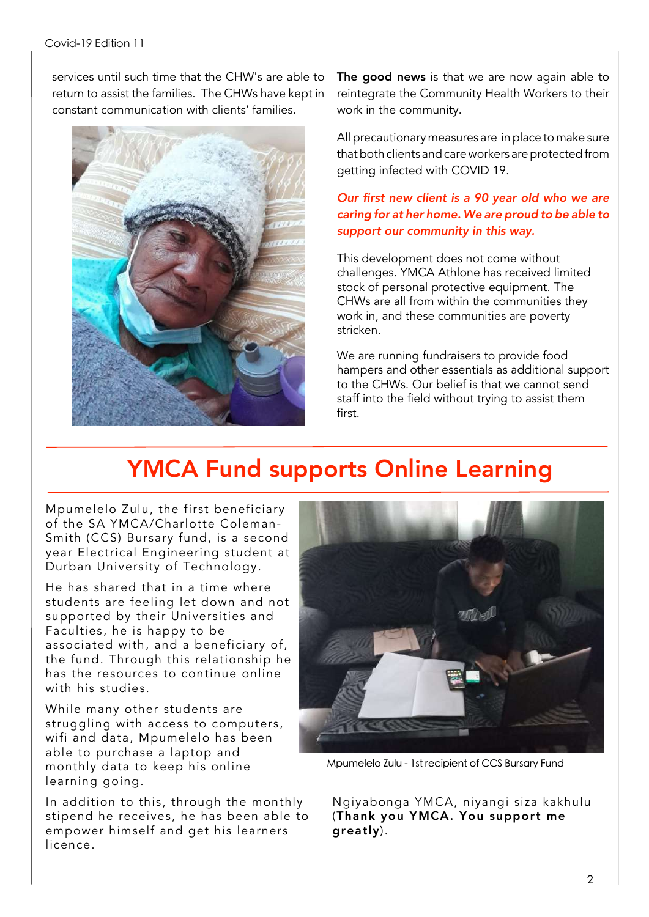services until such time that the CHW's are able to return to assist the families. The CHWs have kept in constant communication with clients' families.



The good news is that we are now again able to reintegrate the Community Health Workers to their work in the community.

All precautionary measures are in place to make sure that both clients and care workers are protected from getting infected with COVID 19.

#### *Our first new client is a 90 year old who we are caring for at her home. We are proud to be able to support our community in this way.*

This development does not come without challenges. YMCA Athlone has received limited stock of personal protective equipment. The CHWs are all from within the communities they work in, and these communities are poverty stricken.

We are running fundraisers to provide food hampers and other essentials as additional support to the CHWs. Our belief is that we cannot send staff into the field without trying to assist them first.

#### YMCA Fund supports Online Learning

Mpumelelo Zulu, the first beneficiary of the SA YMCA/Charlotte Coleman-Smith (CCS) Bursary fund, is a second year Electrical Engineering student at Durban University of Technology.

He has shared that in a time where students are feeling let down and not supported by their Universities and Faculties, he is happy to be associated with, and a beneficiary of, the fund. Through this relationship he has the resources to continue online with his studies.

While many other students are struggling with access to computers, wifi and data, Mpumelelo has been able to purchase a laptop and monthly data to keep his online learning going.

In addition to this, through the monthly stipend he receives, he has been able to empower himself and get his learners licence.



Mpumelelo Zulu - 1st recipient of CCS Bursary Fund

Ngiyabonga YMCA, niyangi siza kakhulu (Thank you YMCA. You support me greatly).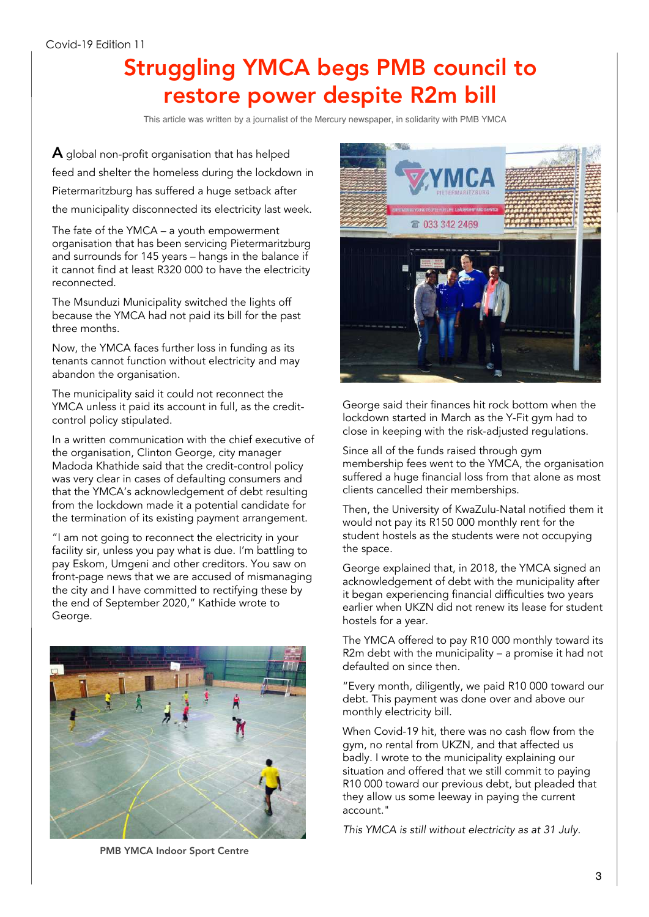#### Struggling YMCA begs PMB council to restore power despite R2m bill

This article was written by a journalist of the Mercury newspaper, in solidarity with PMB YMCA

A global non-profit organisation that has helped feed and shelter the homeless during the lockdown in Pietermaritzburg has suffered a huge setback after the municipality disconnected its electricity last week.

The fate of the YMCA – a youth empowerment organisation that has been servicing Pietermaritzburg and surrounds for 145 years – hangs in the balance if it cannot find at least R320 000 to have the electricity reconnected.

The Msunduzi Municipality switched the lights off because the YMCA had not paid its bill for the past three months.

Now, the YMCA faces further loss in funding as its tenants cannot function without electricity and may abandon the organisation.

The municipality said it could not reconnect the YMCA unless it paid its account in full, as the creditcontrol policy stipulated.

In a written communication with the chief executive of the organisation, Clinton George, city manager Madoda Khathide said that the credit-control policy was very clear in cases of defaulting consumers and that the YMCA's acknowledgement of debt resulting from the lockdown made it a potential candidate for the termination of its existing payment arrangement.

"I am not going to reconnect the electricity in your facility sir, unless you pay what is due. I'm battling to pay Eskom, Umgeni and other creditors. You saw on front-page news that we are accused of mismanaging the city and I have committed to rectifying these by the end of September 2020," Kathide wrote to George.





George said their finances hit rock bottom when the lockdown started in March as the Y-Fit gym had to close in keeping with the risk-adjusted regulations.

Since all of the funds raised through gym membership fees went to the YMCA, the organisation suffered a huge financial loss from that alone as most clients cancelled their memberships.

Then, the University of KwaZulu-Natal notified them it would not pay its R150 000 monthly rent for the student hostels as the students were not occupying the space.

George explained that, in 2018, the YMCA signed an acknowledgement of debt with the municipality after it began experiencing financial difficulties two years earlier when UKZN did not renew its lease for student hostels for a year.

The YMCA offered to pay R10 000 monthly toward its R2m debt with the municipality – a promise it had not defaulted on since then.

"Every month, diligently, we paid R10 000 toward our debt. This payment was done over and above our monthly electricity bill.

When Covid-19 hit, there was no cash flow from the gym, no rental from UKZN, and that affected us badly. I wrote to the municipality explaining our situation and offered that we still commit to paying R10 000 toward our previous debt, but pleaded that they allow us some leeway in paying the current account."

*This YMCA is still without electricity as at 31 July.*

PMB YMCA Indoor Sport Centre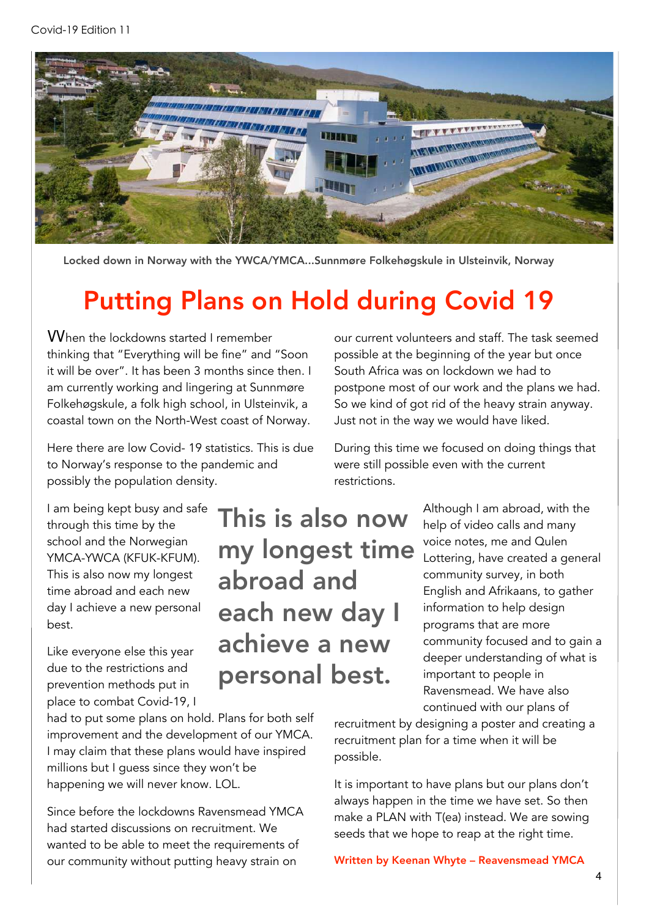

Locked down in Norway with the YWCA/YMCA...Sunnmøre Folkehøgskule in Ulsteinvik, Norway

## Putting Plans on Hold during Covid 19

When the lockdowns started I remember thinking that "Everything will be fine" and "Soon it will be over". It has been 3 months since then. I am currently working and lingering at Sunnmøre Folkehøgskule, a folk high school, in Ulsteinvik, a coastal town on the North-West coast of Norway.

Here there are low Covid- 19 statistics. This is due to Norway's response to the pandemic and possibly the population density.

I am being kept busy and safe through this time by the school and the Norwegian YMCA-YWCA (KFUK-KFUM). This is also now my longest time abroad and each new day I achieve a new personal best.

Like everyone else this year due to the restrictions and prevention methods put in place to combat Covid-19, I

had to put some plans on hold. Plans for both self improvement and the development of our YMCA. I may claim that these plans would have inspired millions but I guess since they won't be happening we will never know. LOL.

Since before the lockdowns Ravensmead YMCA had started discussions on recruitment. We wanted to be able to meet the requirements of our community without putting heavy strain on

our current volunteers and staff. The task seemed possible at the beginning of the year but once South Africa was on lockdown we had to postpone most of our work and the plans we had. So we kind of got rid of the heavy strain anyway. Just not in the way we would have liked.

During this time we focused on doing things that were still possible even with the current restrictions.

> Although I am abroad, with the help of video calls and many voice notes, me and Qulen Lottering, have created a general community survey, in both English and Afrikaans, to gather information to help design programs that are more community focused and to gain a deeper understanding of what is important to people in Ravensmead. We have also continued with our plans of

recruitment by designing a poster and creating a recruitment plan for a time when it will be possible.

It is important to have plans but our plans don't always happen in the time we have set. So then make a PLAN with T(ea) instead. We are sowing seeds that we hope to reap at the right time.

Written by Keenan Whyte – Reavensmead YMCA

This is also now my longest time abroad and each new day I achieve a new personal best.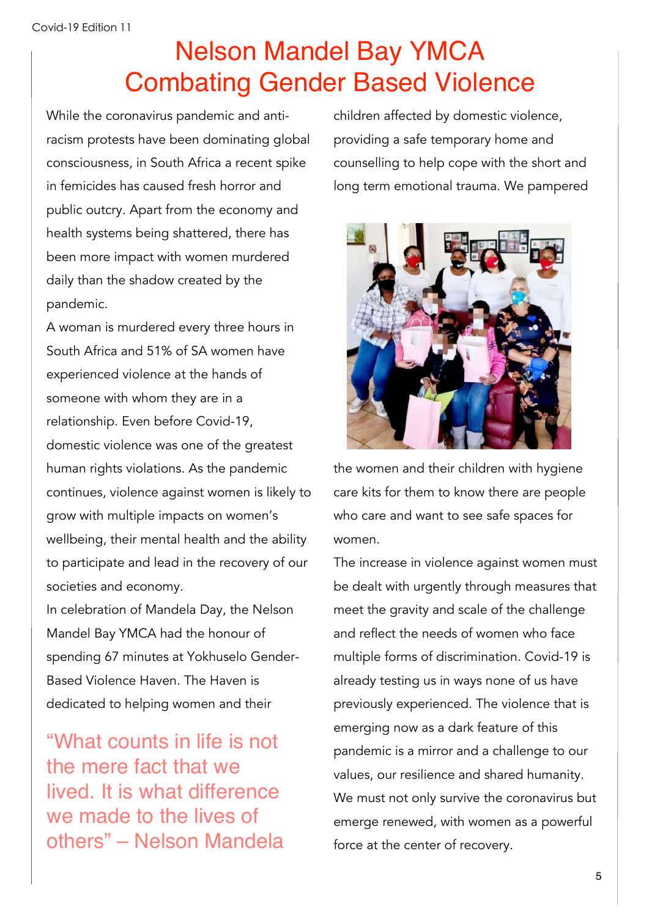## Nelson Mandel Bay YMCA Combating Gender Based Violence

While the coronavirus pandemic and antiracism protests have been dominating global consciousness, in South Africa a recent spike in femicides has caused fresh horror and public outcry. Apart from the economy and health systems being shattered, there has been more impact with women murdered daily than the shadow created by the pandemic.

A woman is murdered every three hours in South Africa and 51% of SA women have experienced violence at the hands of someone with whom they are in a relationship. Even before Covid-19, domestic violence was one of the greatest human rights violations. As the pandemic continues, violence against women is likely to grow with multiple impacts on women's wellbeing, their mental health and the ability to participate and lead in the recovery of our societies and economy.

In celebration of Mandela Day, the Nelson Mandel Bay YMCA had the honour of spending 67 minutes at Yokhuselo Gender-Based Violence Haven. The Haven is dedicated to helping women and their

"What counts in life is not the mere fact that we lived. It is what difference we made to the lives of others" – Nelson Mandela children affected by domestic violence, providing a safe temporary home and counselling to help cope with the short and long term emotional trauma. We pampered



the women and their children with hygiene care kits for them to know there are people who care and want to see safe spaces for women.

The increase in violence against women must be dealt with urgently through measures that meet the gravity and scale of the challenge and reflect the needs of women who face multiple forms of discrimination. Covid-19 is already testing us in ways none of us have previously experienced. The violence that is emerging now as a dark feature of this pandemic is a mirror and a challenge to our values, our resilience and shared humanity. We must not only survive the coronavirus but emerge renewed, with women as a powerful force at the center of recovery.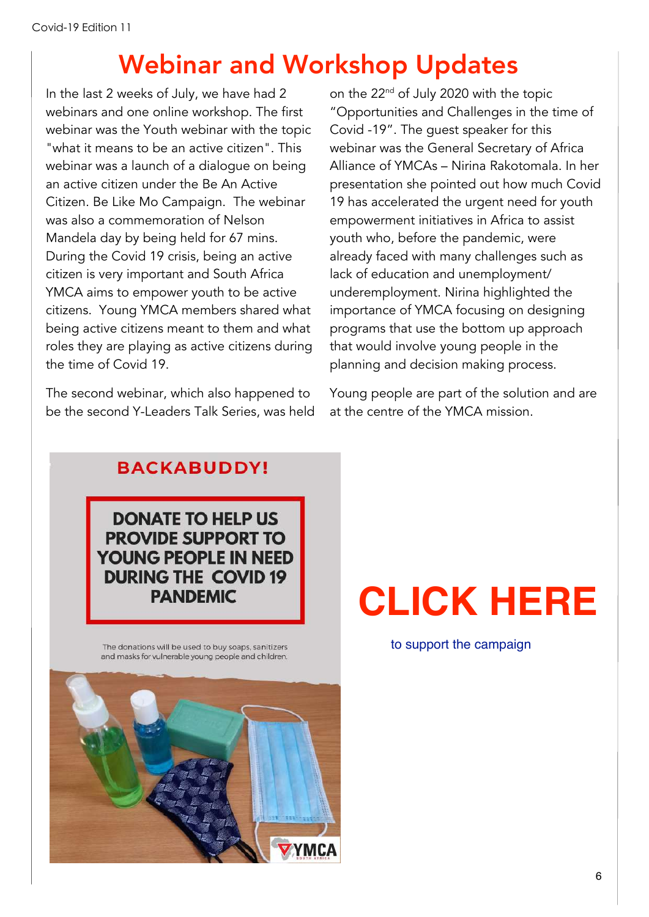#### Webinar and Workshop Updates

In the last 2 weeks of July, we have had 2 webinars and one online workshop. The first webinar was the Youth webinar with the topic "what it means to be an active citizen". This webinar was a launch of a dialogue on being an active citizen under the Be An Active Citizen. Be Like Mo Campaign. The webinar was also a commemoration of Nelson Mandela day by being held for 67 mins. During the Covid 19 crisis, being an active citizen is very important and South Africa YMCA aims to empower youth to be active citizens. Young YMCA members shared what being active citizens meant to them and what roles they are playing as active citizens during the time of Covid 19.

The second webinar, which also happened to be the second Y-Leaders Talk Series, was held on the 22<sup>nd</sup> of July 2020 with the topic "Opportunities and Challenges in the time of Covid -19". The guest speaker for this webinar was the General Secretary of Africa Alliance of YMCAs – Nirina Rakotomala. In her presentation she pointed out how much Covid 19 has accelerated the urgent need for youth empowerment initiatives in Africa to assist youth who, before the pandemic, were already faced with many challenges such as lack of education and unemployment/ underemployment. Nirina highlighted the importance of YMCA focusing on designing programs that use the bottom up approach that would involve young people in the planning and decision making process.

Young people are part of the solution and are at the centre of the YMCA mission.

#### **BACKABUDDY!**

**DONATE TO HELP US PROVIDE SUPPORT TO** YOUNG PEOPLE IN NEED **DURING THE COVID 19 PANDEMIC** 

The donations will be used to buy soaps, sanitizers and masks for vulnerable young people and children.



# **[CLICK](https://www.backabuddy.co.za/champion/project/safe-spaces-for-youth) HERE**

to support the campaign